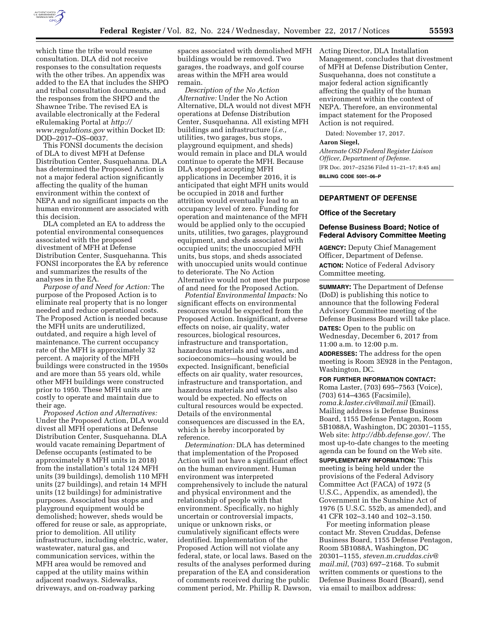

which time the tribe would resume consultation. DLA did not receive responses to the consultation requests with the other tribes. An appendix was added to the EA that includes the SHPO and tribal consultation documents, and the responses from the SHPO and the Shawnee Tribe. The revised EA is available electronically at the Federal eRulemaking Portal at *[http://](http://www.regulations.gov) [www.regulations.gov](http://www.regulations.gov)* within Docket ID: DOD–2017–OS–0037.

This FONSI documents the decision of DLA to divest MFH at Defense Distribution Center, Susquehanna. DLA has determined the Proposed Action is not a major federal action significantly affecting the quality of the human environment within the context of NEPA and no significant impacts on the human environment are associated with this decision.

DLA completed an EA to address the potential environmental consequences associated with the proposed divestment of MFH at Defense Distribution Center, Susquehanna. This FONSI incorporates the EA by reference and summarizes the results of the analyses in the EA.

*Purpose of and Need for Action:* The purpose of the Proposed Action is to eliminate real property that is no longer needed and reduce operational costs. The Proposed Action is needed because the MFH units are underutilized, outdated, and require a high level of maintenance. The current occupancy rate of the MFH is approximately 32 percent. A majority of the MFH buildings were constructed in the 1950s and are more than 55 years old, while other MFH buildings were constructed prior to 1950. These MFH units are costly to operate and maintain due to their age.

*Proposed Action and Alternatives:*  Under the Proposed Action, DLA would divest all MFH operations at Defense Distribution Center, Susquehanna. DLA would vacate remaining Department of Defense occupants (estimated to be approximately 8 MFH units in 2018) from the installation's total 124 MFH units (39 buildings), demolish 110 MFH units (27 buildings), and retain 14 MFH units (12 buildings) for administrative purposes. Associated bus stops and playground equipment would be demolished; however, sheds would be offered for reuse or sale, as appropriate, prior to demolition. All utility infrastructure, including electric, water, wastewater, natural gas, and communication services, within the MFH area would be removed and capped at the utility mains within adjacent roadways. Sidewalks, driveways, and on-roadway parking

spaces associated with demolished MFH buildings would be removed. Two garages, the roadways, and golf course areas within the MFH area would remain.

*Description of the No Action Alternative:* Under the No Action Alternative, DLA would not divest MFH operations at Defense Distribution Center, Susquehanna. All existing MFH buildings and infrastructure (*i.e.,*  utilities, two garages, bus stops, playground equipment, and sheds) would remain in place and DLA would continue to operate the MFH. Because DLA stopped accepting MFH applications in December 2016, it is anticipated that eight MFH units would be occupied in 2018 and further attrition would eventually lead to an occupancy level of zero. Funding for operation and maintenance of the MFH would be applied only to the occupied units, utilities, two garages, playground equipment, and sheds associated with occupied units; the unoccupied MFH units, bus stops, and sheds associated with unoccupied units would continue to deteriorate. The No Action Alternative would not meet the purpose of and need for the Proposed Action.

*Potential Environmental Impacts:* No significant effects on environmental resources would be expected from the Proposed Action. Insignificant, adverse effects on noise, air quality, water resources, biological resources, infrastructure and transportation, hazardous materials and wastes, and socioeconomics—housing would be expected. Insignificant, beneficial effects on air quality, water resources, infrastructure and transportation, and hazardous materials and wastes also would be expected. No effects on cultural resources would be expected. Details of the environmental consequences are discussed in the EA, which is hereby incorporated by reference.

*Determination:* DLA has determined that implementation of the Proposed Action will not have a significant effect on the human environment. Human environment was interpreted comprehensively to include the natural and physical environment and the relationship of people with that environment. Specifically, no highly uncertain or controversial impacts, unique or unknown risks, or cumulatively significant effects were identified. Implementation of the Proposed Action will not violate any federal, state, or local laws. Based on the results of the analyses performed during preparation of the EA and consideration of comments received during the public comment period, Mr. Phillip R. Dawson, Acting Director, DLA Installation Management, concludes that divestment of MFH at Defense Distribution Center, Susquehanna, does not constitute a major federal action significantly affecting the quality of the human environment within the context of NEPA. Therefore, an environmental impact statement for the Proposed Action is not required.

Dated: November 17, 2017.

#### **Aaron Siegel,**

*Alternate OSD Federal Register Liaison Officer, Department of Defense.*  [FR Doc. 2017–25256 Filed 11–21–17; 8:45 am] **BILLING CODE 5001–06–P** 

# **DEPARTMENT OF DEFENSE**

#### **Office of the Secretary**

### **Defense Business Board; Notice of Federal Advisory Committee Meeting**

**AGENCY:** Deputy Chief Management Officer, Department of Defense. **ACTION:** Notice of Federal Advisory Committee meeting.

**SUMMARY:** The Department of Defense (DoD) is publishing this notice to announce that the following Federal Advisory Committee meeting of the Defense Business Board will take place.

**DATES:** Open to the public on Wednesday, December 6, 2017 from 11:00 a.m. to 12:00 p.m.

**ADDRESSES:** The address for the open meeting is Room 3E928 in the Pentagon, Washington, DC.

#### **FOR FURTHER INFORMATION CONTACT:**

Roma Laster, (703) 695–7563 (Voice), (703) 614–4365 (Facsimile), *[roma.k.laster.civ@mail.mil](mailto:roma.k.laster.civ@mail.mil)* (Email). Mailing address is Defense Business Board, 1155 Defense Pentagon, Room 5B1088A, Washington, DC 20301–1155, Web site: *[http://dbb.defense.gov/.](http://dbb.defense.gov/)* The most up-to-date changes to the meeting agenda can be found on the Web site.

**SUPPLEMENTARY INFORMATION:** This meeting is being held under the provisions of the Federal Advisory Committee Act (FACA) of 1972 (5 U.S.C., Appendix, as amended), the Government in the Sunshine Act of 1976 (5 U.S.C. 552b, as amended), and 41 CFR 102–3.140 and 102–3.150.

For meeting information please contact Mr. Steven Cruddas, Defense Business Board, 1155 Defense Pentagon, Room 5B1088A, Washington, DC 20301–1155, *[steven.m.cruddas.civ@](mailto:steven.m.cruddas.civ@mail.mil) [mail.mil](mailto:steven.m.cruddas.civ@mail.mil)*, (703) 697–2168. To submit written comments or questions to the Defense Business Board (Board), send via email to mailbox address: